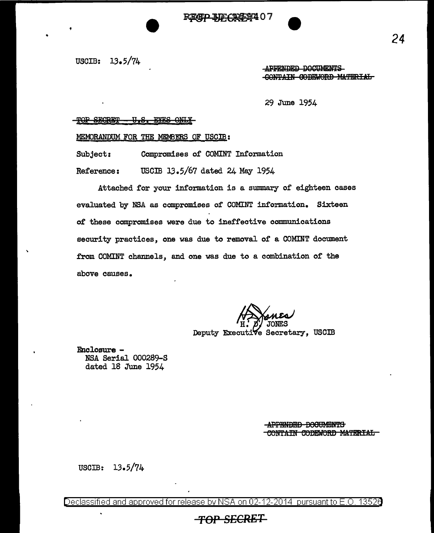READ IDCASS 07

USCIB: 13.5/74

•

APPENDED DOCUMENTS GONTAIN GODEWORD MATERIAL

29 June 1954

### SECRET - U.S. EYES ONLY

MEMORANDUM FOR THE MEMBERS OF USCIB:

Subject: Compromises of COMINT Information

Reference: USCIB 13.5/67 dated 24 May 1954

Attached for your information is a summary of eighteen cases evaluated by NSA as compromises of COMINT information. Sixteen of these compromises were due to ineffective communications security practices, one was due to removal of a COMINT document from COMINT channels, and one was due to a combination of the above causes.

*H:* ' JONES Deputy Executive Secretary, USCIB

Enclosure - NSA Serial 000289-S dated 18 June 1954

> **APPENDED DOCUMENTS** CONTAIN CODEWORD MATERIAL

USCIB: 13.5/74

Declassified and approved for release by NSA on 02-12-2014 pursuant to E.O. 13520

## *TOP* SECRET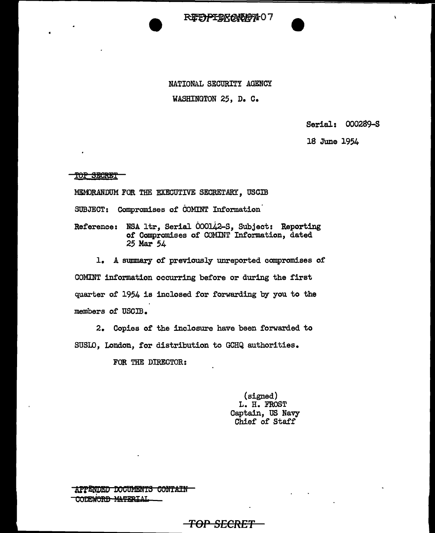

NATIONAL SECURITY AGENCY WASHINGTON 25, D. C.

Serial: 000289-S

18 June 1954

**TOP SECRET** 

MEM)RANDUM FOR THE EXECUTIVE SECRETARY, USCIB

SUBJECT: Compromises of COMINT Information

Reference: NSA ltr, Serial 000142-S, Subject: Reporting of Compromises of COMINT Information, dated 25 Mar 54

l. A summary of previously unreported compromises of

COMINT information occurring before or during the first quarter of 1954 is inclosed for forwarding by you to the members of USCIB.

2. Copies of the inclosure have been forwarded to SUSlD, London, for distribution to GCHQ authorities.

FOR THE DIRECTOR:

(signed) L. H. FROST Captain, US Navy Chief of Staff

APPENDED DOCUMENTS CONTAIN CODEWORD MATERIAL

## *TOP SECRET*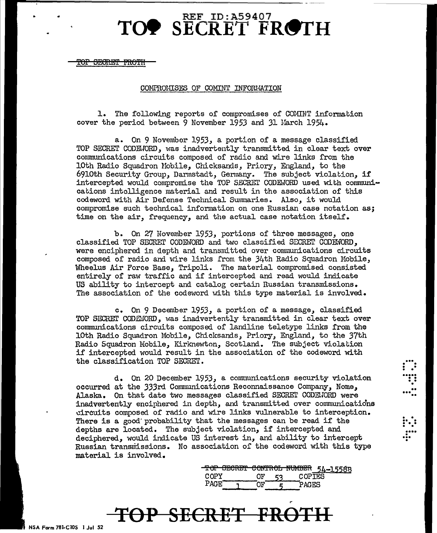# $\textbf{TO}\bullet \textbf{ SECRET}^{\text{REF ID: A59407}} \textbf{FROTH}$

'<del>OF SECRET FROTH</del>

### COMPROHISES OF COMINT INFORMATION

1. The following reports of compromises of COMINT information cover the period between 9 November 1953 and 31 Harch 1954.

a. On 9 November 1953, a portion of a message classified TOP SECRET CODE.JORD, was inadvertently transmitted in clear text over communications circuits composed of radio and wire links from the 10th Radio Squadron Mobile, Chicksands, Priory, England, to the 6910th Security Group, Darmstadt, Germany. The subject violation, if intercepted would compromise the TOP SECRET CODEWORD used with communications intelligence material and result in the association of this codeword with Air Defense Technical Swmnaries. Also, it would compromise such technical information on one Russian case notation as; time on the air, frequency, and the actual case notation itself.

b. On 27 November 1953, portions of three messages, one classified TOP SECRET CODEWORD and two classified SECRET CODEWORD, were enciphered in depth and transmitted over communications circuits composed of radio and wire links from the 3/+th Radio Squadron Mobile, Wheelus Air Force Base, Tripoli. The material compromised consisted entirely of raw traffic and if intercepted and read would indicate US ability to intercept and catalog certain Russian transmissions. The association of the codeword with this type material is involved.

c. On 9 December 1953, a portion of a message, classified TOP SECRET *COD.Ei:JORD,* was inadvertently transmitted in clear text over communications circuits composed of landline teletype links from the 10th Radio Squadron Mobile, Chicksands, Priory, England, to the 37th Radio Squadron Mobile, Kirknewton, Scotland. The subject violation if intercepted would result in the association of the codeword with the classification TOP SECRET.

d. On 20 December 1953, a cormnunications security violation occurred at the 333rd Communications Reconnaissance Company, Nome <sup>1</sup> Alaska. On that date two messages classified SECRET CODE.JORD were inadvertently enciphered in depth, and transmitted over communications ~ircuits composed of radio and wire links vulnerable to interception. There is a good' probability that the messages can be read if the depths are located. The subject violation, if intercepted and deciphered, would indicate US interest in, and ability to intercept Russian transmissions. No association of the codeword with this type material is involved.

|       |  |    |               | TOP SECRET CONTROL NUMBER 54-1558B |
|-------|--|----|---------------|------------------------------------|
|       |  |    |               |                                    |
| COPY. |  | ະາ | <b>COPTES</b> |                                    |
| PACE. |  |    |               |                                    |
|       |  |    | PAGES         |                                    |

 $\vdots$  .

: .'<br>".:<br>...".

 $\vdots$  :

...<br>....<br>...

## TOP SECRET FRO

NSA Form 781-CIOS I Jul 52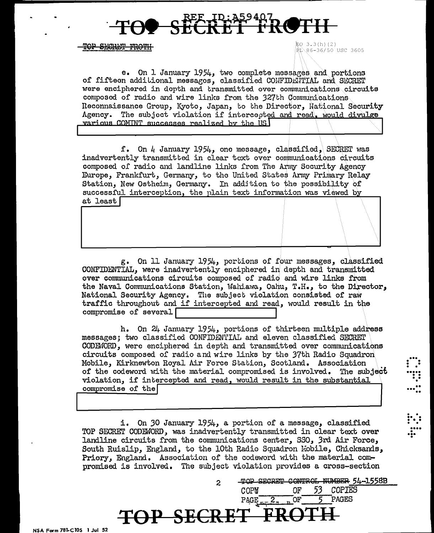TOP SECRET FROTH

 $EO 3.3(h) (2)$ EL 86-36/50 USC 3605

e. On 1 January 1954, two complete messages and portions of fifteen additional messages, classified CONFIDENTIAL and SECRET were enciphered in dopth and transmitted over communications circuits composed of radio and wire links from the 327th Communications Reconnaissance Group, Kyoto, Japan, to the Director, National Security Agency. The subject violation if intercepted and read, would divulge various COMINT successes realized by the US

f. On 4 January 1954, one message, classified, SECRET was inadvertently transmitted in clear text over communications circuits composed of radio and landline links from The Army Security Agency Europe, Frankfurt, Germany, to the United States Army Primary Relay Station, New Ostheim, Germany. In addition to the possibility of successful interception, the plain text information was viewed by at least|

g. On 11 January 1954, portions of four messages, classified CONFIDENTIAL, were inadvertently enciphered in depth and transmitted over communications circuits composed of radio and wire links from the Naval Communications Station, Wahiawa, Oahu, T.H., to the Director, National Security Agency. The subject violation consisted of raw traffic throughout and if intercepted and read, would result in the compromise of several

h. On 24 January 1954, portions of thirteen multiple address messages: two classified CONFIDENTIAL and eleven classified SECRET CODEWORD, were enciphered in depth and transmitted over communications circuits composed of radio and wire links by the 37th Radio Squadron Mobile, Kirknewton Royal Air Force Station, Scotland. Association of the codeword with the material compromised is involved. The subject violation, if intercepted and read, would result in the substantial compromise of the

i. On 30 January 1954, a portion of a message, classified TOP SECRET CODEWORD, was inadvertently transmitted in clear text over landline circuits from the communications center, SSO, 3rd Air Force, South Ruislip, England, to the 10th Radio Squadron Mobile, Chicksands, Priory, England. Association of the codeword with the material compromised is involved. The subject violation provides a cross-section

TOP SECRET

COPM

PAGE

CONTROL NUMBER 54-1558B

**COPIES** 

PAGES

53

OF

OF

 $\overline{2}$ 

NSA Form 781-C10S 1 Jul 52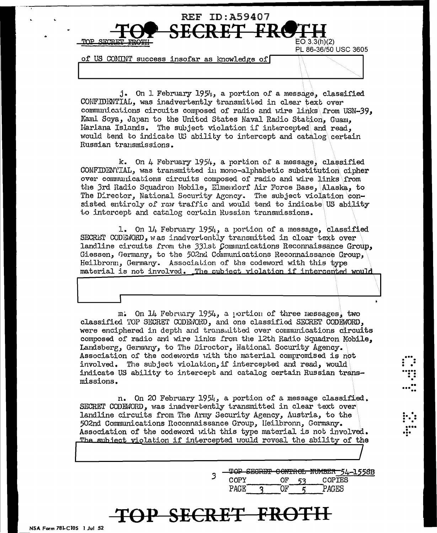

of US COMINT success insofar as knowledge of

j. On 1 February 1954, a portion of a message, classified CONFIDENTIAL, was inadvertently transmitted in clear text over communications circuits composed of radio and wire links from USN-39, Kami Seya, Japan to the United States Naval Radio Station, Guam, Hariana Islands. The subject violation if intercepted and read. would tend to indicate US ability to intercept and catalog certain Russian transmissions.

k. On 4 February 1954, a portion of a message, classified CONFIDENTIAL, was transmitted in mono-alphabetic substitution cipher over communications circuits composed of radio and wire links from the 3rd Radio Squadron Mobile, Elmendorf Air Force Base, Alaska, to The Director, National Security Agency. The subject violation consisted entiroly of raw traffic and would tend to indicate US ability to intercept and catalog certain Russian transmissions.

1. On 14 February 1954, a portion of a message, classified SECRET CODEWORD, was inadvertently transmitted in clear text over landline circuits from the 331st Communications Reconnaissance Group, Giessen, Germany, to the 502nd Communications Reconnaissance Group, Heilbronn, Germany. Association of the codeword with this type material is not involved. The subject violation if intercented would

m. On 14 February 1954, a portion of three messages, two classified TOP SECRET CODE/ORD, and one classified SECRET CODEWORD, were enciphered in depth and transmitted over communications circuits composed of radio and wire links from the 12th Radio Squadron Mobile, Landsberg, Germany, to The Director, National Socurity Agency. Association of the codewords with the material compromised is not involved. The subject violation, if intercepted and read, would indicate US ability to intercept and catalog certain Russian transmissions.

n. On 20 February 1954, a portion of a message classified. SECRET CODEMORD, was inadvertently transmitted in clear text over landline circuits from The Army Security Agency, Austria, to the 502nd Communications Reconnaissance Group, Heilbronn, Gormany. Association of the codeword with this type material is not involved. The subject violation if intercepted would reveal the ability of the

> TOP SECRET CONTROL NUMBER 54-1558B 3 COPY OF COPIES 53 **PAGE** OF. PAGES

## TOP SECRET FRO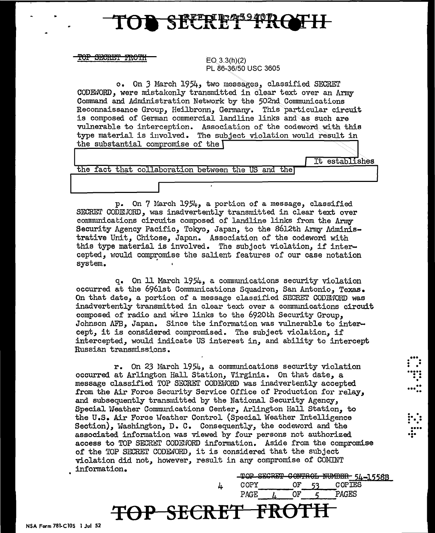## SECRET FRG

 $\overline{\text{BECRET}}$   $\overline{\text{FROTH}}$   $\overline{\text{FQ 3.3(h)(2)}}$ 

PL 86-36/50 USC 3605

o. On 3 March 1954, two messages, classified SECHET CODE:JORD, were mistakenly transmitted in clear text over an Army Connnand and Administration Network by the 502nd.Connnunicutions Reconnaissance Group, Heilbronn, Germany. This particular circuit is composed of German commercial landline links and as such are vulnerable to interception. Association of the codeword with this type material is involved. The subject violation would result in the substantial compromise of the

It establishes the fact that collaboration between the US and the

p. On 7 March 1954, a portion of a message, classified SECRET CODEJORD, was inadvertently transmitted in clear text over conmunications circuits composed of landline links from the Army Security Agency Pacific, Tokyo, Japan, to the 8612th Army Administrative Unit, Chitose, Japan. Association of the codeword with this type material is involved. The subject violation, if intercepted, would compromise the salient features of our case notation system. ·

q. On ll March 1954, a communications security violation occurred at the 696lst Communications Squadron, San Antonio, Texas. On that date, a portion of a message classified SECRET CODEJORD was inadvertently transmitted in clear text over a communications circuit composed of radio and wire links to the 6920th Security Group. Johnson AFB, Japan. Since the information was vulnerable to intercept, it is considered compromised. The subject violation, if intercepted, would indicate US interest in, and ability to intercept Russian transmissions.

r. On 23 March 1954, a connnunications security violation occurred at Arlington Hall Station, Virginia. On that date, a message classified TOP SECRET CODENORD was inadvertently accepted from the Air Force Security Service Office of Production for relay, and subsequently transmitted by the National Security Agency, Special Weather Communications Center, Arlington Hall Station, to the U.S. Air Force Weather Control (Special Weather Intelligence Section), Washington, D. C. Consequently, the codeword and the associated information was viewed by four persons not authorized access to TOP SECRET CODENORD information. Aside from the compromise of the TOP SECRET CODEWORD, it is considered that the subject violation did not, however, result in any compromise of COMINT information.  $\begin{tabular}{lll} \n**TOP-SECRET-COMTROL-NUMBBR-5L-1558B** & \n COPY & \n OF & \n 53 & \n COPIES & \n\end{tabular}$ 

**'FSP SEERET FR()TH** 

4 COPY OF 53 COPIES  $PAGE$   $I$ ,  $OF$   $5$   $PAGES$ 

 $\begin{matrix} \cdots \end{matrix}$ 

• . .<br>• ...<br>• . . • ... •• ..

 $\vdots$  . .... ... • •

NSA Form 781-ClOS 1 Jul 52